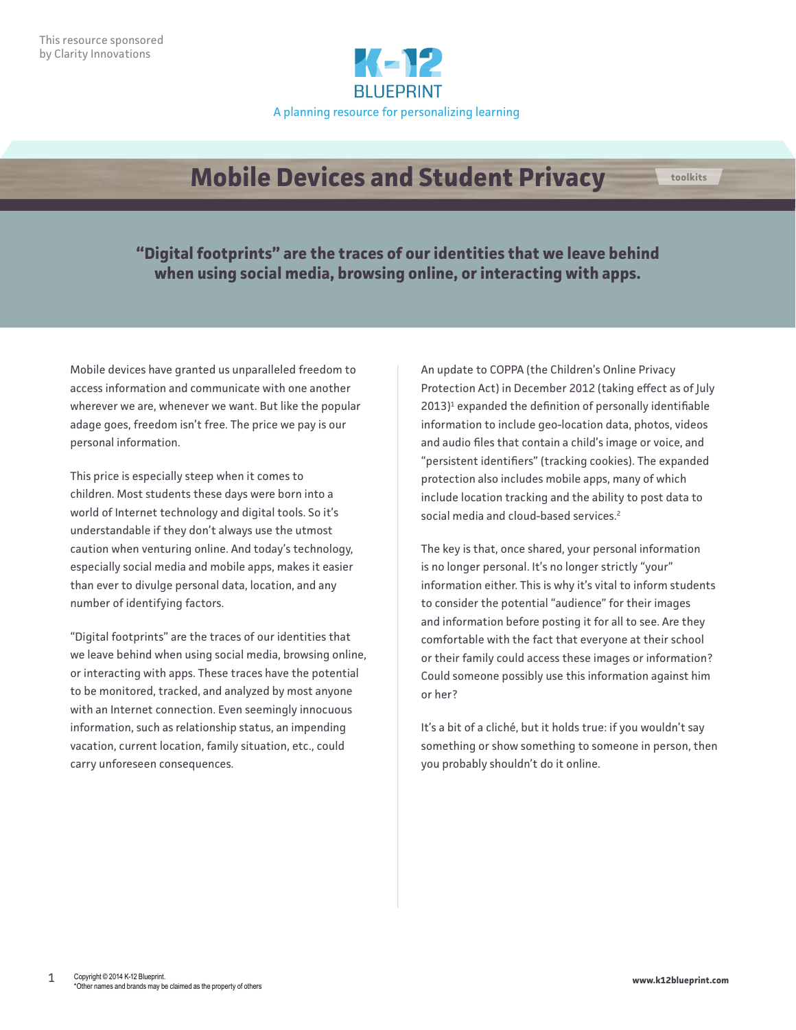

## **Mobile Devices and Student Privacy**

**"Digital footprints" are the traces of our identities that we leave behind when using social media, browsing online, or interacting with apps.**

Mobile devices have granted us unparalleled freedom to access information and communicate with one another wherever we are, whenever we want. But like the popular adage goes, freedom isn't free. The price we pay is our personal information.

This price is especially steep when it comes to children. Most students these days were born into a world of Internet technology and digital tools. So it's understandable if they don't always use the utmost caution when venturing online. And today's technology, especially social media and mobile apps, makes it easier than ever to divulge personal data, location, and any number of identifying factors.

"Digital footprints" are the traces of our identities that we leave behind when using social media, browsing online, or interacting with apps. These traces have the potential to be monitored, tracked, and analyzed by most anyone with an Internet connection. Even seemingly innocuous information, such as relationship status, an impending vacation, current location, family situation, etc., could carry unforeseen consequences.

An update to COPPA (the Children's Online Privacy Protection Act) in December 2012 (taking effect as of July 2013)<sup>1</sup> expanded the definition of personally identifiable information to include geo-location data, photos, videos and audio files that contain a child's image or voice, and "persistent identifiers" (tracking cookies). The expanded protection also includes mobile apps, many of which include location tracking and the ability to post data to social media and cloud-based services.<sup>2</sup>

The key is that, once shared, your personal information is no longer personal. It's no longer strictly "your" information either. This is why it's vital to inform students to consider the potential "audience" for their images and information before posting it for all to see. Are they comfortable with the fact that everyone at their school or their family could access these images or information? Could someone possibly use this information against him or her?

It's a bit of a cliché, but it holds true: if you wouldn't say something or show something to someone in person, then you probably shouldn't do it online.